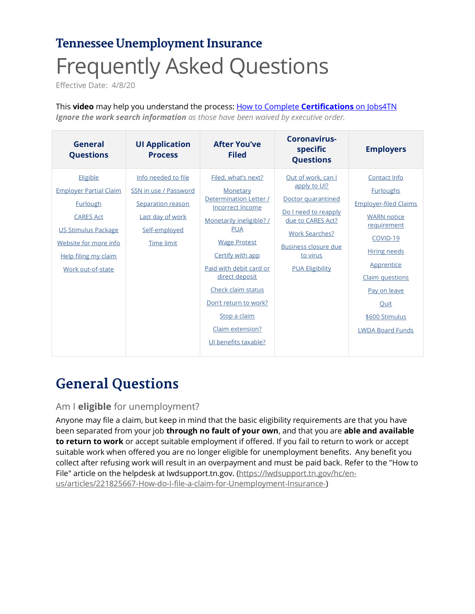# <span id="page-0-2"></span>**Tennessee Unemployment Insurance** Frequently Asked Questions

Effective Date: 4/8/20

This **video** may help you understand the process: How to Complete **Certifications** on Jobs4TN *Ignore the work search information as those have been waived by executive order.*

| General<br><b>Questions</b>                                                                                                                                                   | <b>UI Application</b><br><b>Process</b>                                                                              | <b>After You've</b><br><b>Filed</b>                                                                                                                                                                                                                                                                                               | Coronavirus-<br>specific<br><b>Questions</b>                                                                                                                                                        | <b>Employers</b>                                                                                                                                                                                                                               |
|-------------------------------------------------------------------------------------------------------------------------------------------------------------------------------|----------------------------------------------------------------------------------------------------------------------|-----------------------------------------------------------------------------------------------------------------------------------------------------------------------------------------------------------------------------------------------------------------------------------------------------------------------------------|-----------------------------------------------------------------------------------------------------------------------------------------------------------------------------------------------------|------------------------------------------------------------------------------------------------------------------------------------------------------------------------------------------------------------------------------------------------|
| Eligible<br><b>Employer Partial Claim</b><br><b>Furlough</b><br><b>CARES Act</b><br>US Stimulus Package<br>Website for more info<br>Help filing my claim<br>Work out-of-state | Info needed to file<br>SSN in use / Password<br>Separation reason<br>Last day of work<br>Self-employed<br>Time limit | Filed, what's next?<br>Monetary<br>Determination Letter /<br><b>Incorrect Income</b><br>Monetarily ineligible? /<br><b>PUA</b><br><b>Wage Protest</b><br>Certify with app<br>Paid with debit card or<br>direct deposit<br>Check claim status<br>Don't return to work?<br>Stop a claim<br>Claim extension?<br>UI benefits taxable? | Out of work, can I<br>apply to UI?<br>Doctor quarantined<br>Do I need to reapply<br>due to CARES Act?<br><b>Work Searches?</b><br><b>Business closure due</b><br>to virus<br><b>PUA Eligibility</b> | Contact Info<br><b>Furloughs</b><br><b>Employer-filed Claims</b><br><b>WARN</b> notice<br>requirement<br>COVID-19<br><b>Hiring needs</b><br>Apprentice<br>Claim questions<br>Pay on leave<br>Quit<br>\$600 Stimulus<br><b>LWDA Board Funds</b> |

# **General Questions**

# <span id="page-0-0"></span>Am I **eligible** for unemployment?

<span id="page-0-1"></span>Anyone may file a claim, but keep in mind that the basic eligibility requirements are that you have been separated from your job **through no fault of your own**, and that you are **able and available to return to work** or accept suitable employment if offered. If you fail to return to work or accept suitable work when offered you are no longer eligible for unemployment benefits. Any benefit you collect after refusing work will result in an overpayment and must be paid back. Refer to the "How to File" article on the helpdesk at lwdsupport.tn.gov. (https://lwdsupport.tn.gov/hc/enus/articles/221825667-How-do-I-file-a-claim-for-Unemployment-Insurance-)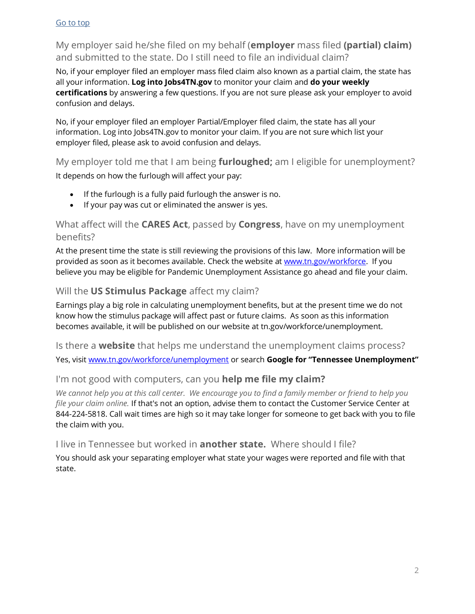# My employer said he/she filed on my behalf (**employer** mass filed **(partial) claim)** and submitted to the state. Do I still need to file an individual claim?

No, if your employer filed an employer mass filed claim also known as a partial claim, the state has all your information. **Log into Jobs4TN.gov** to monitor your claim and **do your weekly certifications** by answering a few questions. If you are not sure please ask your employer to avoid confusion and delays.

No, if your employer filed an employer Partial/Employer filed claim, the state has all your information. Log into Jobs4TN.gov to monitor your claim. If you are not sure which list your employer filed, please ask to avoid confusion and delays.

# <span id="page-1-0"></span>My employer told me that I am being **furloughed;** am I eligible for unemployment?

It depends on how the furlough will affect your pay:

- <span id="page-1-1"></span>• If the furlough is a fully paid furlough the answer is no.
- If your pay was cut or eliminated the answer is yes.

## What affect will the **CARES Act**, passed by **Congress**, have on my unemployment benefits?

At the present time the state is still reviewing the provisions of this law. More information will be provided as soon as it becomes available. Check the website at www.tn.gov/workforce. If you believe you may be eligible for Pandemic Unemployment Assistance go ahead and file your claim.

# <span id="page-1-2"></span>Will the **US Stimulus Package** affect my claim?

Earnings play a big role in calculating unemployment benefits, but at the present time we do not know how the stimulus package will affect past or future claims. As soon as this information becomes available, it will be published on our website at tn.gov/workforce/unemployment.

<span id="page-1-3"></span>Is there a **website** that helps me understand the unemployment claims process?

Yes, visit www.tn.gov/workforce/unemployment or search **Google for "Tennessee Unemployment"**

# <span id="page-1-4"></span>I'm not good with computers, can you **help me file my claim?**

*We cannot help you at this call center. We encourage you to find a family member or friend to help you file your claim online.* If that's not an option, advise them to contact the Customer Service Center at 844-224-5818. Call wait times are high so it may take longer for someone to get back with you to file the claim with you.

# <span id="page-1-5"></span>I live in Tennessee but worked in **another state.** Where should I file?

You should ask your separating employer what state your wages were reported and file with that state.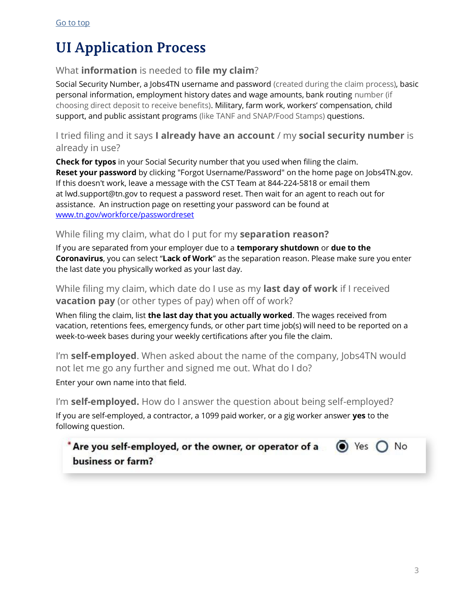# **UI Application Process**

# <span id="page-2-0"></span>What **information** is needed to **file my claim**?

Social Security Number, a Jobs4TN username and password (created during the claim process), basic personal information, employment history dates and wage amounts, bank routing number (if choosing direct deposit to receive benefits). Military, farm work, workers' compensation, child support, and public assistant programs (like TANF and SNAP/Food Stamps) questions.

## <span id="page-2-1"></span>I tried filing and it says **I already have an account** / my **social security number** is already in use?

**Check for typos** in your Social Security number that you used when filing the claim. **Reset your password** by clicking "Forgot Username/Password" on the home page on Jobs4TN.gov. If this doesn't work, leave a message with the CST Team at 844-224-5818 or email them at lwd.support@tn.gov to request a password reset. Then wait for an agent to reach out for assistance. An instruction page on resetting your password can be found at www.tn.gov/workforce/passwordreset

## <span id="page-2-2"></span>While filing my claim, what do I put for my **separation reason?**

If you are separated from your employer due to a **temporary shutdown** or **due to the Coronavirus**, you can select "**Lack of Work**" as the separation reason. Please make sure you enter the last date you physically worked as your last day.

<span id="page-2-3"></span>While filing my claim, which date do I use as my **last day of work** if I received **vacation pay** (or other types of pay) when off of work?

When filing the claim, list **the last day that you actually worked**. The wages received from vacation, retentions fees, emergency funds, or other part time job(s) will need to be reported on a week-to-week bases during your weekly certifications after you file the claim.

<span id="page-2-4"></span>I'm **self-employed**. When asked about the name of the company, Jobs4TN would not let me go any further and signed me out. What do I do?

Enter your own name into that field.

I'm **self-employed.** How do I answer the question about being self-employed? If you are self-employed, a contractor, a 1099 paid worker, or a gig worker answer **yes** to the following question.

\* Are you self-employed, or the owner, or operator of a  $\odot$  Yes  $\bigcap$  No business or farm?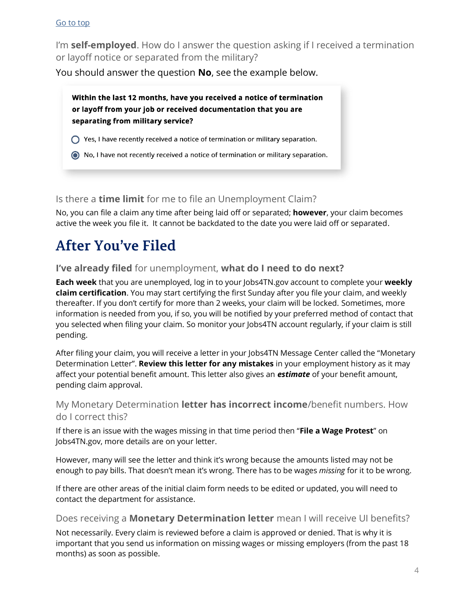I'm **self-employed**. How do I answer the question asking if I received a termination or layoff notice or separated from the military?

You should answer the question **No**, see the example below.

Within the last 12 months, have you received a notice of termination or layoff from your job or received documentation that you are separating from military service?

- $\bigcap$  Yes, I have recently received a notice of termination or military separation.
- (a) No, I have not recently received a notice of termination or military separation.

## <span id="page-3-0"></span>Is there a **time limit** for me to file an Unemployment Claim?

No, you can file a claim any time after being laid off or separated; **however**, your claim becomes active the week you file it. It cannot be backdated to the date you were laid off or separated.

# **After You've Filed**

## <span id="page-3-1"></span>**I've already filed** for unemployment, **what do I need to do next?**

**Each week** that you are unemployed, log in to your Jobs4TN.gov account to complete your **weekly claim certification**. You may start certifying the first Sunday after you file your claim, and weekly thereafter. If you don't certify for more than 2 weeks, your claim will be locked. Sometimes, more information is needed from you, if so, you will be notified by your preferred method of contact that you selected when filing your claim. So monitor your Jobs4TN account regularly, if your claim is still pending.

After filing your claim, you will receive a letter in your Jobs4TN Message Center called the "Monetary Determination Letter". **Review this letter for any mistakes** in your employment history as it may affect your potential benefit amount. This letter also gives an *estimate* of your benefit amount, pending claim approval.

## <span id="page-3-2"></span>My Monetary Determination **letter has incorrect income**/benefit numbers. How do I correct this?

If there is an issue with the wages missing in that time period then "**File a Wage Protest**" on Jobs4TN.gov, more details are on your letter.

However, many will see the letter and think it's wrong because the amounts listed may not be enough to pay bills. That doesn't mean it's wrong. There has to be wages *missing* for it to be wrong.

If there are other areas of the initial claim form needs to be edited or updated, you will need to contact the department for assistance.

#### Does receiving a **Monetary Determination letter** mean I will receive UI benefits?

Not necessarily. Every claim is reviewed before a claim is approved or denied. That is why it is important that you send us information on missing wages or missing employers (from the past 18 months) as soon as possible.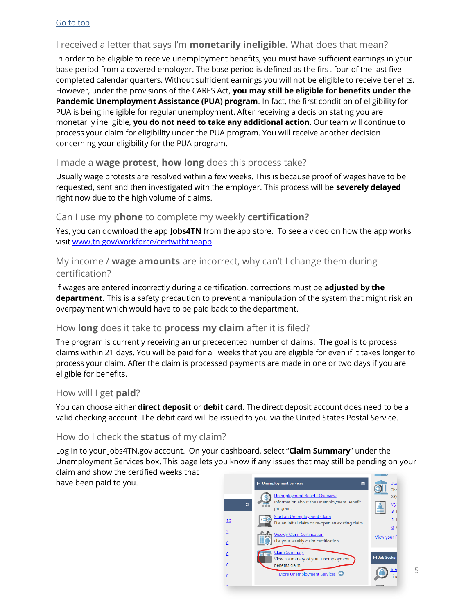# <span id="page-4-0"></span>I received a letter that says I'm **monetarily ineligible.** What does that mean?

<span id="page-4-5"></span>In order to be eligible to receive unemployment benefits, you must have sufficient earnings in your base period from a covered employer. The base period is defined as the first four of the last five completed calendar quarters. Without sufficient earnings you will not be eligible to receive benefits. However, under the provisions of the CARES Act, **you may still be eligible for benefits under the Pandemic Unemployment Assistance (PUA) program**. In fact, the first condition of eligibility for PUA is being ineligible for regular unemployment. After receiving a decision stating you are monetarily ineligible, **you do not need to take any additional action**. Our team will continue to process your claim for eligibility under the PUA program. You will receive another decision concerning your eligibility for the PUA program.

## <span id="page-4-1"></span>I made a **wage protest, how long** does this process take?

Usually wage protests are resolved within a few weeks. This is because proof of wages have to be requested, sent and then investigated with the employer. This process will be **severely delayed** right now due to the high volume of claims.

## <span id="page-4-2"></span>Can I use my **phone** to complete my weekly **certification?**

Yes, you can download the app **Jobs4TN** from the app store. To see a video on how the app works visit www.tn.gov/workforce/certwiththeapp

## My income / **wage amounts** are incorrect, why can't I change them during certification?

If wages are entered incorrectly during a certification, corrections must be **adjusted by the department.** This is a safety precaution to prevent a manipulation of the system that might risk an overpayment which would have to be paid back to the department.

#### How **long** does it take to **process my claim** after it is filed?

The program is currently receiving an unprecedented number of claims. The goal is to process claims within 21 days. You will be paid for all weeks that you are eligible for even if it takes longer to process your claim. After the claim is processed payments are made in one or two days if you are eligible for benefits.

#### <span id="page-4-3"></span>How will I get **paid**?

You can choose either **direct deposit** or **debit card**. The direct deposit account does need to be a valid checking account. The debit card will be issued to you via the United States Postal Service.

# <span id="page-4-4"></span>How do I check the **status** of my claim?

Log in to your Jobs4TN.gov account. On your dashboard, select "**Claim Summary**" under the Unemployment Services box. This page lets you know if any issues that may still be pending on your claim and show the certified weeks that

have been paid to you.



5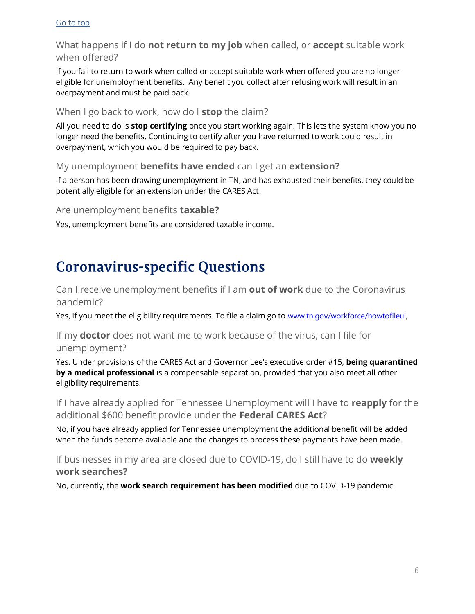What happens if I do **not return to my job** when called, or **accept** suitable work when offered?

If you fail to return to work when called or accept suitable work when offered you are no longer eligible for unemployment benefits. Any benefit you collect after refusing work will result in an overpayment and must be paid back.

#### <span id="page-5-0"></span>When I go back to work, how do I **stop** the claim?

All you need to do is **stop certifying** once you start working again. This lets the system know you no longer need the benefits. Continuing to certify after you have returned to work could result in overpayment, which you would be required to pay back.

## <span id="page-5-1"></span>My unemployment **benefits have ended** can I get an **extension?**

If a person has been drawing unemployment in TN, and has exhausted their benefits, they could be potentially eligible for an extension under the CARES Act.

<span id="page-5-2"></span>Are unemployment benefits **taxable?**

Yes, unemployment benefits are considered taxable income.

# **Coronavirus-specific Questions**

<span id="page-5-3"></span>Can I receive unemployment benefits if I am **out of work** due to the Coronavirus pandemic?

Yes, if you meet the eligibility requirements. To file a claim go to www.tn.gov/workforce/howtofileui,

<span id="page-5-4"></span>If my **doctor** does not want me to work because of the virus, can I file for unemployment?

Yes. Under provisions of the CARES Act and Governor Lee's executive order #15, **being quarantined by a medical professional** is a compensable separation, provided that you also meet all other eligibility requirements.

<span id="page-5-5"></span>If I have already applied for Tennessee Unemployment will I have to **reapply** for the additional \$600 benefit provide under the **Federal CARES Act**?

No, if you have already applied for Tennessee unemployment the additional benefit will be added when the funds become available and the changes to process these payments have been made.

<span id="page-5-6"></span>If businesses in my area are closed due to COVID-19, do I still have to do **weekly work searches?**

<span id="page-5-7"></span>No, currently, the **work search requirement has been modified** due to COVID-19 pandemic.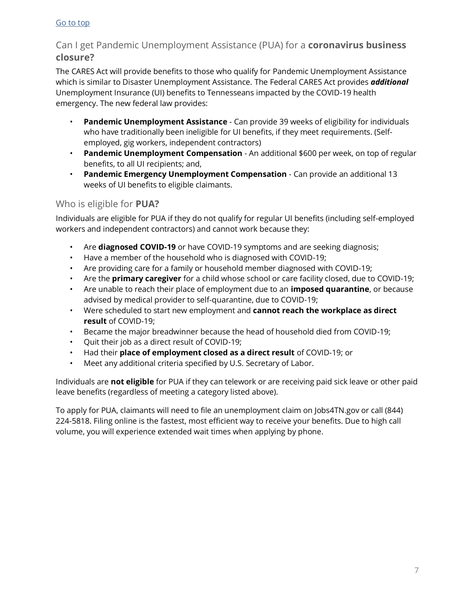# Can I get Pandemic Unemployment Assistance (PUA) for a **coronavirus business closure?**

The CARES Act will provide benefits to those who qualify for Pandemic Unemployment Assistance which is similar to Disaster Unemployment Assistance. The Federal CARES Act provides *additional* Unemployment Insurance (UI) benefits to Tennesseans impacted by the COVID-19 health emergency. The new federal law provides:

- **Pandemic Unemployment Assistance** Can provide 39 weeks of eligibility for individuals who have traditionally been ineligible for UI benefits, if they meet requirements. (Selfemployed, gig workers, independent contractors)
- **Pandemic Unemployment Compensation** An additional \$600 per week, on top of regular benefits, to all UI recipients; and,
- **Pandemic Emergency Unemployment Compensation** Can provide an additional 13 weeks of UI benefits to eligible claimants.

# <span id="page-6-0"></span>Who is eligible for **PUA?**

Individuals are eligible for PUA if they do not qualify for regular UI benefits (including self-employed workers and independent contractors) and cannot work because they:

- Are **diagnosed COVID-19** or have COVID-19 symptoms and are seeking diagnosis;
- Have a member of the household who is diagnosed with COVID-19;
- Are providing care for a family or household member diagnosed with COVID-19;
- Are the **primary caregiver** for a child whose school or care facility closed, due to COVID-19;
- Are unable to reach their place of employment due to an **imposed quarantine**, or because advised by medical provider to self-quarantine, due to COVID-19;
- Were scheduled to start new employment and **cannot reach the workplace as direct result** of COVID-19;
- Became the major breadwinner because the head of household died from COVID-19;
- Quit their job as a direct result of COVID-19;
- Had their **place of employment closed as a direct result** of COVID-19; or
- Meet any additional criteria specified by U.S. Secretary of Labor.

Individuals are **not eligible** for PUA if they can telework or are receiving paid sick leave or other paid leave benefits (regardless of meeting a category listed above).

To apply for PUA, claimants will need to file an unemployment claim on Jobs4TN.gov or call (844) 224-5818. Filing online is the fastest, most efficient way to receive your benefits. Due to high call volume, you will experience extended wait times when applying by phone.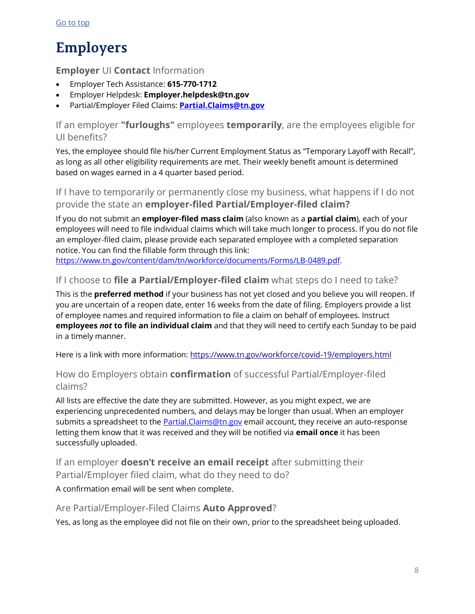# **Employers**

# <span id="page-7-0"></span>**Employer** UI **Contact** Information

- Employer Tech Assistance: **615-770-1712**
- Employer Helpdesk: **Employer.helpdesk@tn.gov**
- Partial/Employer Filed Claims: **Partial.Claims@tn.gov**

<span id="page-7-1"></span>If an employer **"furloughs"** employees **temporarily**, are the employees eligible for UI benefits?

Yes, the employee should file his/her Current Employment Status as "Temporary Layoff with Recall", as long as all other eligibility requirements are met. Their weekly benefit amount is determined based on wages earned in a 4 quarter based period.

<span id="page-7-2"></span>If I have to temporarily or permanently close my business, what happens if I do not provide the state an **employer-filed Partial/Employer-filed claim?**

If you do not submit an **employer-filed mass claim** (also known as a **partial claim**), each of your employees will need to file individual claims which will take much longer to process. If you do not file an employer-filed claim, please provide each separated employee with a completed separation notice. You can find the fillable form through this link:

https://www.tn.gov/content/dam/tn/workforce/documents/Forms/LB-0489.pdf.

## If I choose to **file a Partial/Employer-filed claim** what steps do I need to take?

This is the **preferred method** if your business has not yet closed and you believe you will reopen. If you are uncertain of a reopen date, enter 16 weeks from the date of filing. Employers provide a list of employee names and required information to file a claim on behalf of employees. Instruct **employees** *not* **to file an individual claim** and that they will need to certify each Sunday to be paid in a timely manner.

Here is a link with more information: https://www.tn.gov/workforce/covid-19/employers.html

# How do Employers obtain **confirmation** of successful Partial/Employer-filed claims?

All lists are effective the date they are submitted. However, as you might expect, we are experiencing unprecedented numbers, and delays may be longer than usual. When an employer submits a spreadsheet to the **Partial.Claims@tn.gov** email account, they receive an auto-response letting them know that it was received and they will be notified via **email once** it has been successfully uploaded.

If an employer **doesn't receive an email receipt** after submitting their Partial/Employer filed claim, what do they need to do?

A confirmation email will be sent when complete.

#### Are Partial/Employer-Filed Claims **Auto Approved**?

Yes, as long as the employee did not file on their own, prior to the spreadsheet being uploaded.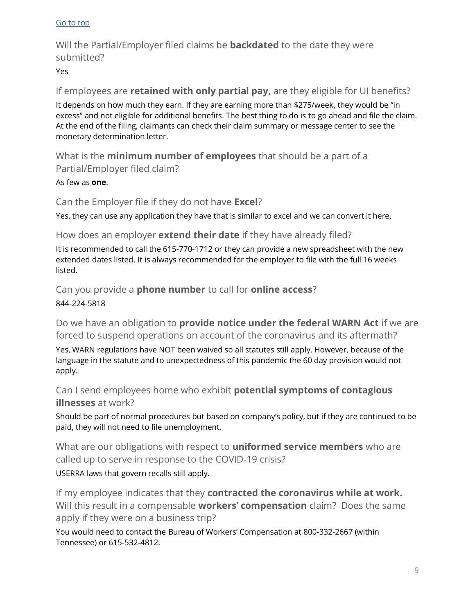Will the Partial/Employer filed claims be **backdated** to the date they were submitted?

#### Yes

If employees are **retained with only partial pay,** are they eligible for UI benefits?

It depends on how much they earn. If they are earning more than \$275/week, they would be "in excess" and not eligible for additional benefits. The best thing to do is to go ahead and file the claim. At the end of the filing, claimants can check their claim summary or message center to see the monetary determination letter.

What is the **minimum number of employees** that should be a part of a Partial/Employer filed claim?

#### As few as **one**.

Can the Employer file if they do not have **Excel**?

Yes, they can use any application they have that is similar to excel and we can convert it here.

# How does an employer **extend their date** if they have already filed?

It is recommended to call the 615-770-1712 or they can provide a new spreadsheet with the new extended dates listed. It is always recommended for the employer to file with the full 16 weeks listed.

Can you provide a **phone number** to call for **online access**?

#### 844-224-5818

<span id="page-8-0"></span>Do we have an obligation to **provide notice under the federal WARN Act** if we are forced to suspend operations on account of the coronavirus and its aftermath?

Yes, WARN regulations have NOT been waived so all statutes still apply. However, because of the language in the statute and to unexpectedness of this pandemic the 60 day provision would not apply.

<span id="page-8-1"></span>Can I send employees home who exhibit **potential symptoms of contagious illnesses** at work?

Should be part of normal procedures but based on company's policy, but if they are continued to be paid, they will not need to file unemployment.

What are our obligations with respect to **uniformed service members** who are called up to serve in response to the COVID-19 crisis?

USERRA laws that govern recalls still apply.

If my employee indicates that they **contracted the coronavirus while at work.**  Will this result in a compensable **workers' compensation** claim? Does the same apply if they were on a business trip?

You would need to contact the Bureau of Workers' Compensation at 800-332-2667 (within Tennessee) or 615-532-4812.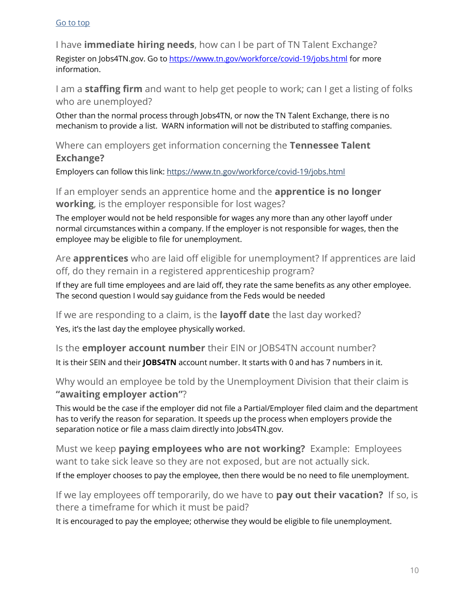<span id="page-9-0"></span>I have **immediate hiring needs**, how can I be part of TN Talent Exchange? Register on Jobs4TN.gov. Go to https://www.tn.gov/workforce/covid-19/jobs.html for more information.

I am a **staffing firm** and want to help get people to work; can I get a listing of folks who are unemployed?

Other than the normal process through Jobs4TN, or now the TN Talent Exchange, there is no mechanism to provide a list. WARN information will not be distributed to staffing companies.

Where can employers get information concerning the **Tennessee Talent Exchange?**

Employers can follow this link: https://www.tn.gov/workforce/covid-19/jobs.html

<span id="page-9-1"></span>If an employer sends an apprentice home and the **apprentice is no longer working**, is the employer responsible for lost wages?

The employer would not be held responsible for wages any more than any other layoff under normal circumstances within a company. If the employer is not responsible for wages, then the employee may be eligible to file for unemployment.

Are **apprentices** who are laid off eligible for unemployment? If apprentices are laid off, do they remain in a registered apprenticeship program?

If they are full time employees and are laid off, they rate the same benefits as any other employee. The second question I would say guidance from the Feds would be needed

<span id="page-9-2"></span>If we are responding to a claim, is the **layoff date** the last day worked? Yes, it's the last day the employee physically worked.

Is the **employer account number** their EIN or JOBS4TN account number? It is their SEIN and their **JOBS4TN** account number. It starts with 0 and has 7 numbers in it.

Why would an employee be told by the Unemployment Division that their claim is **"awaiting employer action"**?

This would be the case if the employer did not file a Partial/Employer filed claim and the department has to verify the reason for separation. It speeds up the process when employers provide the separation notice or file a mass claim directly into Jobs4TN.gov.

<span id="page-9-3"></span>Must we keep **paying employees who are not working?** Example: Employees want to take sick leave so they are not exposed, but are not actually sick.

If the employer chooses to pay the employee, then there would be no need to file unemployment.

If we lay employees off temporarily, do we have to **pay out their vacation?** If so, is there a timeframe for which it must be paid?

It is encouraged to pay the employee; otherwise they would be eligible to file unemployment.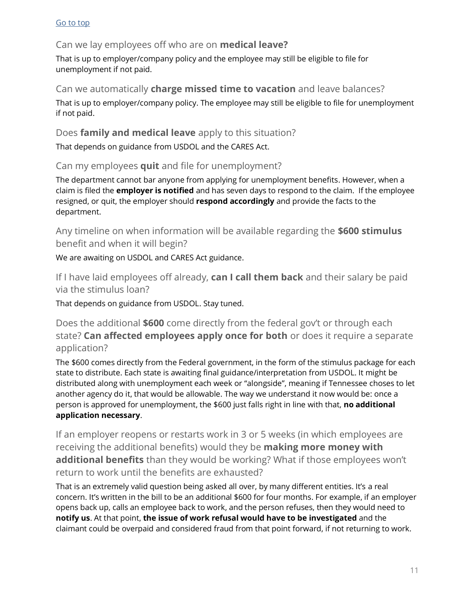## Can we lay employees off who are on **medical leave?**

That is up to employer/company policy and the employee may still be eligible to file for unemployment if not paid.

#### Can we automatically **charge missed time to vacation** and leave balances?

That is up to employer/company policy. The employee may still be eligible to file for unemployment if not paid.

#### Does **family and medical leave** apply to this situation?

That depends on guidance from USDOL and the CARES Act.

## <span id="page-10-0"></span>Can my employees **quit** and file for unemployment?

The department cannot bar anyone from applying for unemployment benefits. However, when a claim is filed the **employer is notified** and has seven days to respond to the claim. If the employee resigned, or quit, the employer should **respond accordingly** and provide the facts to the department.

<span id="page-10-1"></span>Any timeline on when information will be available regarding the **\$600 stimulus**  benefit and when it will begin?

We are awaiting on USDOL and CARES Act guidance.

If I have laid employees off already, **can I call them back** and their salary be paid via the stimulus loan?

That depends on guidance from USDOL. Stay tuned.

Does the additional **\$600** come directly from the federal gov't or through each state? **Can affected employees apply once for both** or does it require a separate application?

The \$600 comes directly from the Federal government, in the form of the stimulus package for each state to distribute. Each state is awaiting final guidance/interpretation from USDOL. It might be distributed along with unemployment each week or "alongside", meaning if Tennessee choses to let another agency do it, that would be allowable. The way we understand it now would be: once a person is approved for unemployment, the \$600 just falls right in line with that, **no additional application necessary**.

If an employer reopens or restarts work in 3 or 5 weeks (in which employees are receiving the additional benefits) would they be **making more money with additional benefits** than they would be working? What if those employees won't return to work until the benefits are exhausted?

That is an extremely valid question being asked all over, by many different entities. It's a real concern. It's written in the bill to be an additional \$600 for four months. For example, if an employer opens back up, calls an employee back to work, and the person refuses, then they would need to **notify us**. At that point, **the issue of work refusal would have to be investigated** and the claimant could be overpaid and considered fraud from that point forward, if not returning to work.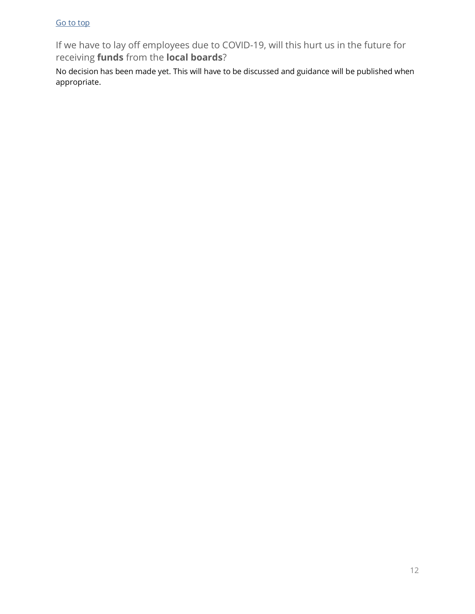<span id="page-11-0"></span>If we have to lay off employees due to COVID-19, will this hurt us in the future for receiving **funds** from the **local boards**?

No decision has been made yet. This will have to be discussed and guidance will be published when appropriate.